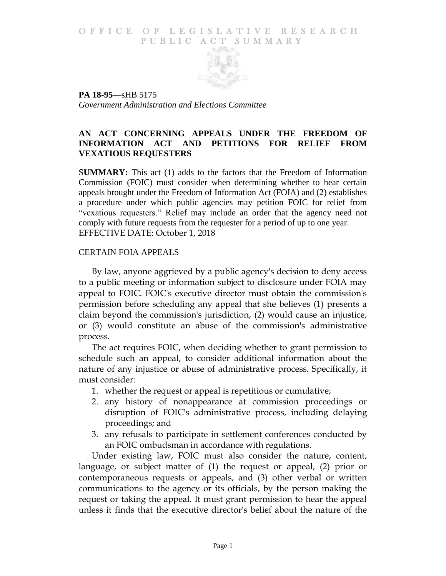#### O F FICE OF LEGISLATIVE RESEARCH PUBLIC ACT SUMMARY



**PA 18-95**—sHB 5175 *Government Administration and Elections Committee*

# **AN ACT CONCERNING APPEALS UNDER THE FREEDOM OF INFORMATION ACT AND PETITIONS FOR RELIEF FROM VEXATIOUS REQUESTERS**

S**UMMARY:** This act (1) adds to the factors that the Freedom of Information Commission (FOIC) must consider when determining whether to hear certain appeals brought under the Freedom of Information Act (FOIA) and (2) establishes a procedure under which public agencies may petition FOIC for relief from "vexatious requesters." Relief may include an order that the agency need not comply with future requests from the requester for a period of up to one year. EFFECTIVE DATE: October 1, 2018

### CERTAIN FOIA APPEALS

By law, anyone aggrieved by a public agency's decision to deny access to a public meeting or information subject to disclosure under FOIA may appeal to FOIC. FOIC's executive director must obtain the commission's permission before scheduling any appeal that she believes (1) presents a claim beyond the commission's jurisdiction, (2) would cause an injustice, or (3) would constitute an abuse of the commission's administrative process.

The act requires FOIC, when deciding whether to grant permission to schedule such an appeal, to consider additional information about the nature of any injustice or abuse of administrative process. Specifically, it must consider:

- 1. whether the request or appeal is repetitious or cumulative;
- 2. any history of nonappearance at commission proceedings or disruption of FOIC's administrative process, including delaying proceedings; and
- 3. any refusals to participate in settlement conferences conducted by an FOIC ombudsman in accordance with regulations.

Under existing law, FOIC must also consider the nature, content, language, or subject matter of (1) the request or appeal, (2) prior or contemporaneous requests or appeals, and (3) other verbal or written communications to the agency or its officials, by the person making the request or taking the appeal. It must grant permission to hear the appeal unless it finds that the executive director's belief about the nature of the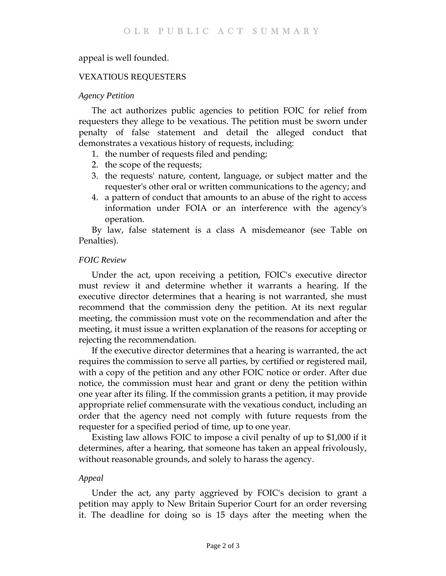## appeal is well founded.

### VEXATIOUS REQUESTERS

#### *Agency Petition*

The act authorizes public agencies to petition FOIC for relief from requesters they allege to be vexatious. The petition must be sworn under penalty of false statement and detail the alleged conduct that demonstrates a vexatious history of requests, including:

- 1. the number of requests filed and pending;
- 2. the scope of the requests;
- 3. the requests' nature, content, language, or subject matter and the requester's other oral or written communications to the agency; and
- 4. a pattern of conduct that amounts to an abuse of the right to access information under FOIA or an interference with the agency's operation.

By law, false statement is a class A misdemeanor (see Table on Penalties).

### *FOIC Review*

Under the act, upon receiving a petition, FOIC's executive director must review it and determine whether it warrants a hearing. If the executive director determines that a hearing is not warranted, she must recommend that the commission deny the petition. At its next regular meeting, the commission must vote on the recommendation and after the meeting, it must issue a written explanation of the reasons for accepting or rejecting the recommendation.

If the executive director determines that a hearing is warranted, the act requires the commission to serve all parties, by certified or registered mail, with a copy of the petition and any other FOIC notice or order. After due notice, the commission must hear and grant or deny the petition within one year after its filing. If the commission grants a petition, it may provide appropriate relief commensurate with the vexatious conduct, including an order that the agency need not comply with future requests from the requester for a specified period of time, up to one year.

Existing law allows FOIC to impose a civil penalty of up to \$1,000 if it determines, after a hearing, that someone has taken an appeal frivolously, without reasonable grounds, and solely to harass the agency.

#### *Appeal*

Under the act, any party aggrieved by FOIC's decision to grant a petition may apply to New Britain Superior Court for an order reversing it. The deadline for doing so is 15 days after the meeting when the